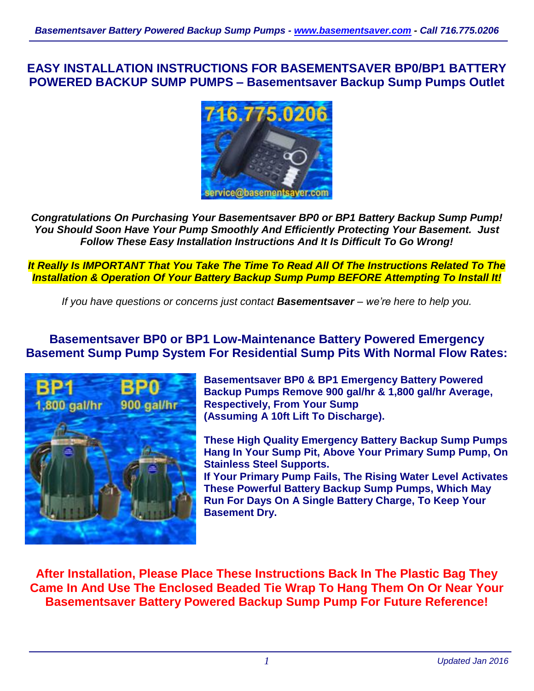**EASY INSTALLATION INSTRUCTIONS FOR BASEMENTSAVER BP0/BP1 BATTERY POWERED BACKUP SUMP PUMPS – Basementsaver Backup Sump Pumps Outlet**



*Congratulations On Purchasing Your Basementsaver BP0 or BP1 Battery Backup Sump Pump! You Should Soon Have Your Pump Smoothly And Efficiently Protecting Your Basement. Just Follow These Easy Installation Instructions And It Is Difficult To Go Wrong!*

*It Really Is IMPORTANT That You Take The Time To Read All Of The Instructions Related To The Installation & Operation Of Your Battery Backup Sump Pump BEFORE Attempting To Install It!*

*If you have questions or concerns just contact Basementsaver – we're here to help you.*

# **Basementsaver BP0 or BP1 Low-Maintenance Battery Powered Emergency Basement Sump Pump System For Residential Sump Pits With Normal Flow Rates:**



**Basementsaver BP0 & BP1 Emergency Battery Powered Backup Pumps Remove 900 gal/hr & 1,800 gal/hr Average, Respectively, From Your Sump (Assuming A 10ft Lift To Discharge).**

**These High Quality Emergency Battery Backup Sump Pumps Hang In Your Sump Pit, Above Your Primary Sump Pump, On Stainless Steel Supports.**

**If Your Primary Pump Fails, The Rising Water Level Activates These Powerful Battery Backup Sump Pumps, Which May Run For Days On A Single Battery Charge, To Keep Your Basement Dry.**

**After Installation, Please Place These Instructions Back In The Plastic Bag They Came In And Use The Enclosed Beaded Tie Wrap To Hang Them On Or Near Your Basementsaver Battery Powered Backup Sump Pump For Future Reference!**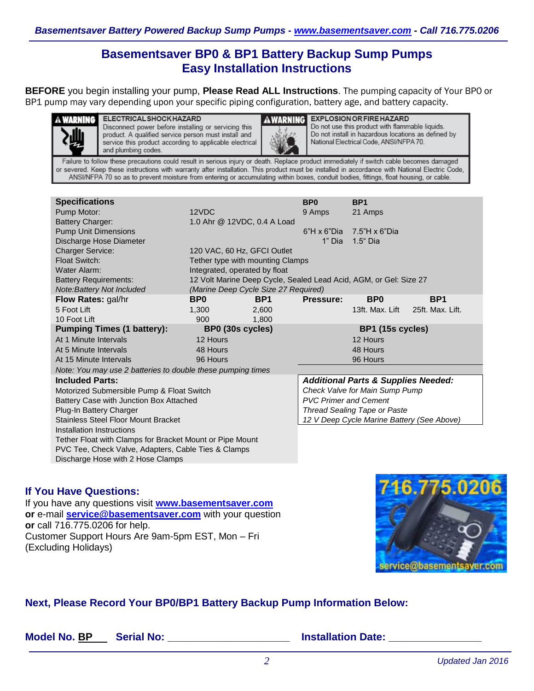# **Basementsaver BP0 & BP1 Battery Backup Sump Pumps Easy Installation Instructions**

**BEFORE** you begin installing your pump, **Please Read ALL Instructions**. The pumping capacity of Your BP0 or BP1 pump may vary depending upon your specific piping configuration, battery age, and battery capacity.



Disconnect power before installing or servicing this product. A qualified service person must install and service this product according to applicable electrical and plumbing codes.



**AWARNING EXPLOSION OR FIRE HAZARD** Do not use this product with flammable liquids. Do not install in hazardous locations as defined by National Electrical Code, ANSI/NFPA 70.

Failure to follow these precautions could result in serious injury or death. Replace product immediately if switch cable becomes damaged or severed. Keep these instructions with warranty after installation. This product must be installed in accordance with National Electric Code, ANSI/NFPA 70 so as to prevent moisture from entering or accumulating within boxes, conduit bodies, fittings, float housing, or cable.

| <b>Specifications</b>                                       |                                                                   |                                      | BP <sub>0</sub>                                | BP <sub>1</sub>      |                  |  |  |
|-------------------------------------------------------------|-------------------------------------------------------------------|--------------------------------------|------------------------------------------------|----------------------|------------------|--|--|
| Pump Motor:                                                 | 12VDC                                                             |                                      | 9 Amps                                         | 21 Amps              |                  |  |  |
| <b>Battery Charger:</b>                                     |                                                                   | 1.0 Ahr @ 12VDC, 0.4 A Load          |                                                |                      |                  |  |  |
| <b>Pump Unit Dimensions</b>                                 |                                                                   |                                      | $6"H \times 6"Dia$                             | $7.5"H \times 6"Dia$ |                  |  |  |
| Discharge Hose Diameter                                     |                                                                   |                                      | 1" Dia                                         | 1.5 <sup>"</sup> Dia |                  |  |  |
| <b>Charger Service:</b>                                     | 120 VAC, 60 Hz, GFCI Outlet                                       |                                      |                                                |                      |                  |  |  |
| Float Switch:                                               |                                                                   | Tether type with mounting Clamps     |                                                |                      |                  |  |  |
| Water Alarm:                                                | Integrated, operated by float                                     |                                      |                                                |                      |                  |  |  |
| <b>Battery Requirements:</b>                                | 12 Volt Marine Deep Cycle, Sealed Lead Acid, AGM, or Gel: Size 27 |                                      |                                                |                      |                  |  |  |
| Note:Battery Not Included                                   |                                                                   | (Marine Deep Cycle Size 27 Required) |                                                |                      |                  |  |  |
| Flow Rates: gal/hr                                          | B <sub>P0</sub>                                                   | BP <sub>1</sub>                      | Pressure:                                      | B <sub>P0</sub>      | BP <sub>1</sub>  |  |  |
| 5 Foot Lift                                                 | 1,300                                                             | 2,600                                |                                                | 13ft. Max. Lift      | 25ft. Max. Lift. |  |  |
| 10 Foot Lift                                                | 900                                                               | 1,800                                |                                                |                      |                  |  |  |
| <b>Pumping Times (1 battery):</b>                           | BP0 (30s cycles)                                                  |                                      |                                                | BP1 (15s cycles)     |                  |  |  |
| At 1 Minute Intervals                                       | 12 Hours                                                          |                                      |                                                | 12 Hours             |                  |  |  |
| At 5 Minute Intervals                                       | 48 Hours                                                          |                                      |                                                | 48 Hours             |                  |  |  |
| At 15 Minute Intervals                                      | 96 Hours                                                          |                                      |                                                | 96 Hours             |                  |  |  |
| Note: You may use 2 batteries to double these pumping times |                                                                   |                                      |                                                |                      |                  |  |  |
| <b>Included Parts:</b>                                      |                                                                   |                                      | <b>Additional Parts &amp; Supplies Needed:</b> |                      |                  |  |  |
| Motorized Submersible Pump & Float Switch                   |                                                                   |                                      | Check Valve for Main Sump Pump                 |                      |                  |  |  |
| Battery Case with Junction Box Attached                     |                                                                   |                                      | <b>PVC Primer and Cement</b>                   |                      |                  |  |  |
| Plug-In Battery Charger                                     |                                                                   |                                      | <b>Thread Sealing Tape or Paste</b>            |                      |                  |  |  |
| <b>Stainless Steel Floor Mount Bracket</b>                  |                                                                   |                                      | 12 V Deep Cycle Marine Battery (See Above)     |                      |                  |  |  |
| Installation Instructions                                   |                                                                   |                                      |                                                |                      |                  |  |  |
| Tether Float with Clamps for Bracket Mount or Pipe Mount    |                                                                   |                                      |                                                |                      |                  |  |  |
| PVC Tee, Check Valve, Adapters, Cable Ties & Clamps         |                                                                   |                                      |                                                |                      |                  |  |  |
| Discharge Hose with 2 Hose Clamps                           |                                                                   |                                      |                                                |                      |                  |  |  |

#### **If You Have Questions:**

If you have any questions visit **[www.basementsaver.com](http://www.basementsaver.com/) or** e-mail **[service@basementsaver.com](mailto:service@basementsaver.com)** with your question **or** call 716.775.0206 for help. Customer Support Hours Are 9am-5pm EST, Mon – Fri (Excluding Holidays)



# **Next, Please Record Your BP0/BP1 Battery Backup Pump Information Below:**

| Model No. BP |  | <b>Serial No</b> |
|--------------|--|------------------|
|              |  |                  |

**Model No. 2. Assume that No. 3. Assume that No. 3. Assume that No. 3. Assume that No. 3. Assume that No. 3. Assume that No. 3. Assume that No. 3. Assume that No. 3. Assume that No. 3. Assume that No. 3. Assume that No. 3.**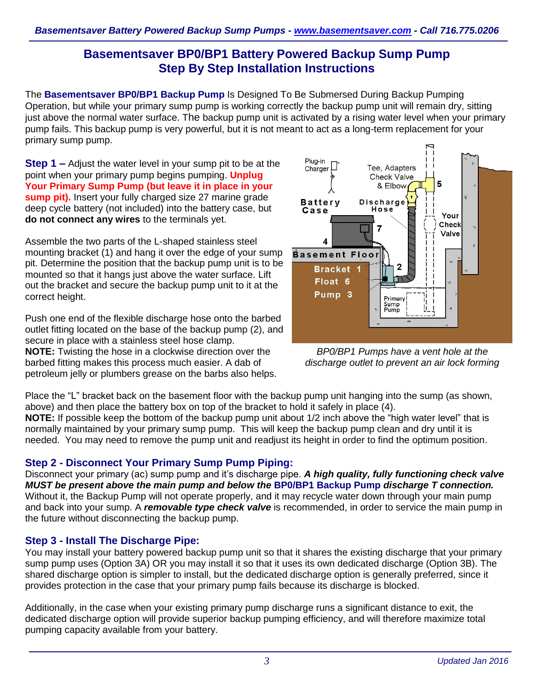# **Basementsaver BP0/BP1 Battery Powered Backup Sump Pump Step By Step Installation Instructions**

The **Basementsaver BP0/BP1 Backup Pump** Is Designed To Be Submersed During Backup Pumping Operation, but while your primary sump pump is working correctly the backup pump unit will remain dry, sitting just above the normal water surface. The backup pump unit is activated by a rising water level when your primary pump fails. This backup pump is very powerful, but it is not meant to act as a long-term replacement for your primary sump pump.

**Step 1 –** Adjust the water level in your sump pit to be at the point when your primary pump begins pumping. **Unplug Your Primary Sump Pump (but leave it in place in your sump pit).** Insert your fully charged size 27 marine grade deep cycle battery (not included) into the battery case, but **do not connect any wires** to the terminals yet.

Assemble the two parts of the L-shaped stainless steel mounting bracket (1) and hang it over the edge of your sump pit. Determine the position that the backup pump unit is to be mounted so that it hangs just above the water surface. Lift out the bracket and secure the backup pump unit to it at the correct height.

Push one end of the flexible discharge hose onto the barbed outlet fitting located on the base of the backup pump (2), and secure in place with a stainless steel hose clamp. **NOTE:** Twisting the hose in a clockwise direction over the barbed fitting makes this process much easier. A dab of petroleum jelly or plumbers grease on the barbs also helps.



*BP0/BP1 Pumps have a vent hole at the discharge outlet to prevent an air lock forming*

Place the "L" bracket back on the basement floor with the backup pump unit hanging into the sump (as shown, above) and then place the battery box on top of the bracket to hold it safely in place (4). **NOTE:** If possible keep the bottom of the backup pump unit about 1/2 inch above the "high water level" that is

normally maintained by your primary sump pump. This will keep the backup pump clean and dry until it is needed. You may need to remove the pump unit and readjust its height in order to find the optimum position.

# **Step 2 - Disconnect Your Primary Sump Pump Piping:**

Disconnect your primary (ac) sump pump and it's discharge pipe. *A high quality, fully functioning check valve MUST be present above the main pump and below the* **BP0/BP1 Backup Pump** *discharge T connection.* Without it, the Backup Pump will not operate properly, and it may recycle water down through your main pump and back into your sump. A *removable type check valve* is recommended, in order to service the main pump in the future without disconnecting the backup pump.

# **Step 3 - Install The Discharge Pipe:**

You may install your battery powered backup pump unit so that it shares the existing discharge that your primary sump pump uses (Option 3A) OR you may install it so that it uses its own dedicated discharge (Option 3B). The shared discharge option is simpler to install, but the dedicated discharge option is generally preferred, since it provides protection in the case that your primary pump fails because its discharge is blocked.

Additionally, in the case when your existing primary pump discharge runs a significant distance to exit, the dedicated discharge option will provide superior backup pumping efficiency, and will therefore maximize total pumping capacity available from your battery.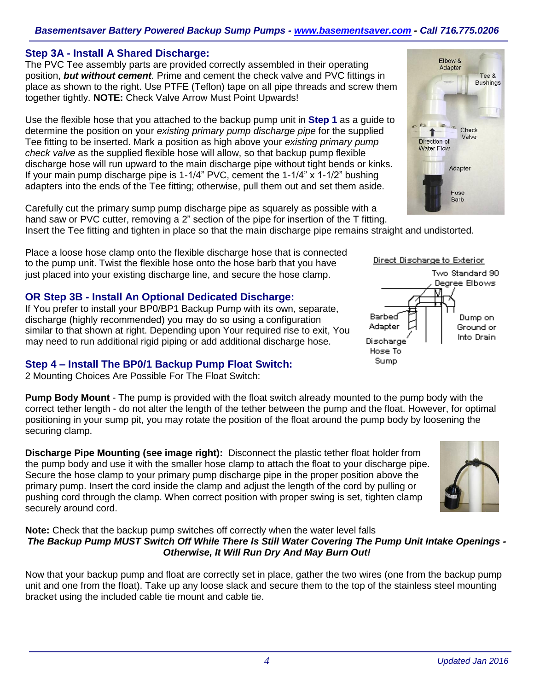#### *Basementsaver Battery Powered Backup Sump Pumps - [www.basementsaver.com](http://www.basementsaver.com/) - Call 716.775.0206*

#### **Step 3A - Install A Shared Discharge:**

The PVC Tee assembly parts are provided correctly assembled in their operating position, *but without cement*. Prime and cement the check valve and PVC fittings in place as shown to the right. Use PTFE (Teflon) tape on all pipe threads and screw them together tightly. **NOTE:** Check Valve Arrow Must Point Upwards!

Use the flexible hose that you attached to the backup pump unit in **Step 1** as a guide to determine the position on your *existing primary pump discharge pipe* for the supplied Tee fitting to be inserted. Mark a position as high above your *existing primary pump check valve* as the supplied flexible hose will allow, so that backup pump flexible discharge hose will run upward to the main discharge pipe without tight bends or kinks. If your main pump discharge pipe is 1-1/4" PVC, cement the 1-1/4" x 1-1/2" bushing adapters into the ends of the Tee fitting; otherwise, pull them out and set them aside.

Carefully cut the primary sump pump discharge pipe as squarely as possible with a hand saw or PVC cutter, removing a 2" section of the pipe for insertion of the T fitting.

Insert the Tee fitting and tighten in place so that the main discharge pipe remains straight and undistorted.

Place a loose hose clamp onto the flexible discharge hose that is connected to the pump unit. Twist the flexible hose onto the hose barb that you have just placed into your existing discharge line, and secure the hose clamp.

#### **OR Step 3B - Install An Optional Dedicated Discharge:**

If You prefer to install your BP0/BP1 Backup Pump with its own, separate, discharge (highly recommended) you may do so using a configuration similar to that shown at right. Depending upon Your required rise to exit, You may need to run additional rigid piping or add additional discharge hose.

#### **Step 4 – Install The BP0/1 Backup Pump Float Switch:**

2 Mounting Choices Are Possible For The Float Switch:

**Pump Body Mount** - The pump is provided with the float switch already mounted to the pump body with the correct tether length - do not alter the length of the tether between the pump and the float. However, for optimal positioning in your sump pit, you may rotate the position of the float around the pump body by loosening the securing clamp.

**Discharge Pipe Mounting (see image right):** Disconnect the plastic tether float holder from the pump body and use it with the smaller hose clamp to attach the float to your discharge pipe. Secure the hose clamp to your primary pump discharge pipe in the proper position above the primary pump. Insert the cord inside the clamp and adjust the length of the cord by pulling or pushing cord through the clamp. When correct position with proper swing is set, tighten clamp securely around cord.

**Note:** Check that the backup pump switches off correctly when the water level falls *The Backup Pump MUST Switch Off While There Is Still Water Covering The Pump Unit Intake Openings - Otherwise, It Will Run Dry And May Burn Out!*

Now that your backup pump and float are correctly set in place, gather the two wires (one from the backup pump unit and one from the float). Take up any loose slack and secure them to the top of the stainless steel mounting bracket using the included cable tie mount and cable tie.



Flhow & Adapter



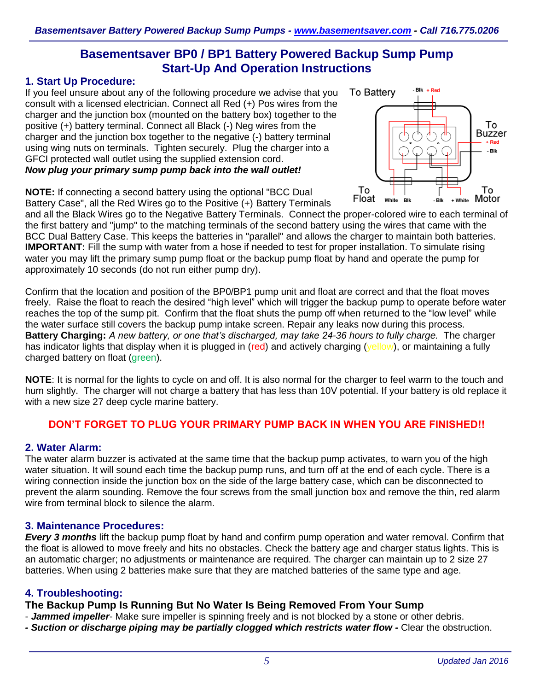# **Basementsaver BP0 / BP1 Battery Powered Backup Sump Pump Start-Up And Operation Instructions**

#### **1. Start Up Procedure:**

If you feel unsure about any of the following procedure we advise that you consult with a licensed electrician. Connect all Red (+) Pos wires from the charger and the junction box (mounted on the battery box) together to the positive (+) battery terminal. Connect all Black (-) Neg wires from the charger and the junction box together to the negative (-) battery terminal using wing nuts on terminals. Tighten securely. Plug the charger into a GFCI protected wall outlet using the supplied extension cord. *Now plug your primary sump pump back into the wall outlet!*

**NOTE:** If connecting a second battery using the optional "BCC Dual Battery Case", all the Red Wires go to the Positive (+) Battery Terminals



and all the Black Wires go to the Negative Battery Terminals. Connect the proper-colored wire to each terminal of the first battery and "jump" to the matching terminals of the second battery using the wires that came with the BCC Dual Battery Case. This keeps the batteries in "parallel" and allows the charger to maintain both batteries. **IMPORTANT:** Fill the sump with water from a hose if needed to test for proper installation. To simulate rising water you may lift the primary sump pump float or the backup pump float by hand and operate the pump for approximately 10 seconds (do not run either pump dry).

Confirm that the location and position of the BP0/BP1 pump unit and float are correct and that the float moves freely. Raise the float to reach the desired "high level" which will trigger the backup pump to operate before water reaches the top of the sump pit. Confirm that the float shuts the pump off when returned to the "low level" while the water surface still covers the backup pump intake screen. Repair any leaks now during this process. **Battery Charging:** *A new battery, or one that's discharged, may take 24-36 hours to fully charge.* The charger has indicator lights that display when it is plugged in (red) and actively charging (yellow), or maintaining a fully charged battery on float (green).

**NOTE**: It is normal for the lights to cycle on and off. It is also normal for the charger to feel warm to the touch and hum slightly. The charger will not charge a battery that has less than 10V potential. If your battery is old replace it with a new size 27 deep cycle marine battery.

# **DON'T FORGET TO PLUG YOUR PRIMARY PUMP BACK IN WHEN YOU ARE FINISHED!!**

#### **2. Water Alarm:**

The water alarm buzzer is activated at the same time that the backup pump activates, to warn you of the high water situation. It will sound each time the backup pump runs, and turn off at the end of each cycle. There is a wiring connection inside the junction box on the side of the large battery case, which can be disconnected to prevent the alarm sounding. Remove the four screws from the small junction box and remove the thin, red alarm wire from terminal block to silence the alarm.

#### **3. Maintenance Procedures:**

*Every 3 months* lift the backup pump float by hand and confirm pump operation and water removal. Confirm that the float is allowed to move freely and hits no obstacles. Check the battery age and charger status lights. This is an automatic charger; no adjustments or maintenance are required. The charger can maintain up to 2 size 27 batteries. When using 2 batteries make sure that they are matched batteries of the same type and age.

#### **4. Troubleshooting:**

**The Backup Pump Is Running But No Water Is Being Removed From Your Sump**

- *Jammed impeller* Make sure impeller is spinning freely and is not blocked by a stone or other debris.
- *- Suction or discharge piping may be partially clogged which restricts water flow -* Clear the obstruction.